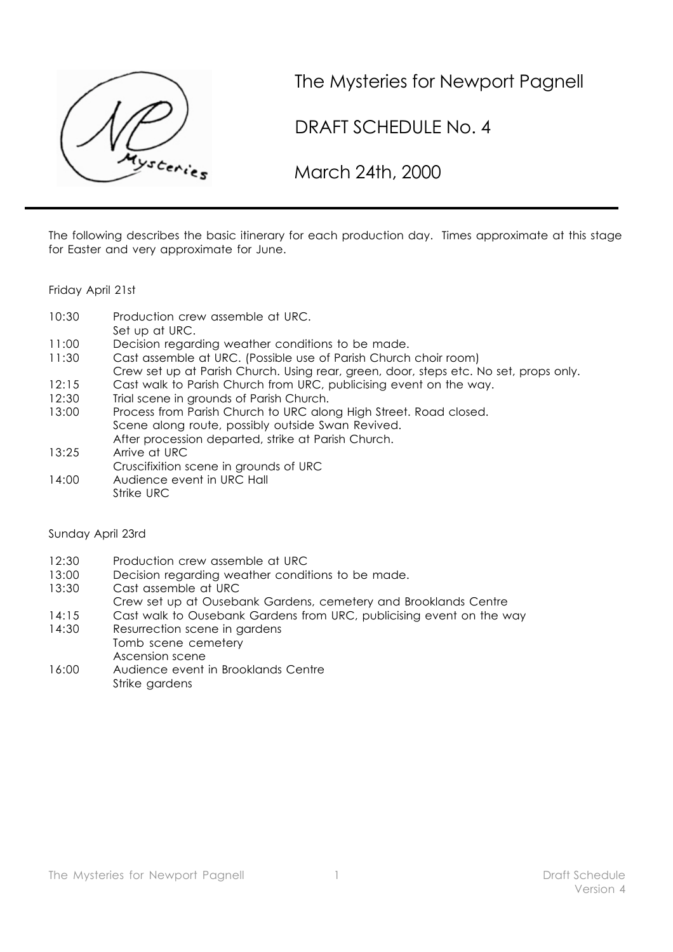

The Mysteries for Newport Pagnell

DRAFT SCHEDULE No. 4

March 24th, 2000

The following describes the basic itinerary for each production day. Times approximate at this stage for Easter and very approximate for June.

Friday April 21st

| 10:30 | Production crew assemble at URC. |  |  |
|-------|----------------------------------|--|--|
|       |                                  |  |  |

- Set up at URC.
- 11:00 Decision regarding weather conditions to be made.
- 11:30 Cast assemble at URC. (Possible use of Parish Church choir room)
- Crew set up at Parish Church. Using rear, green, door, steps etc. No set, props only.
- 12:15 Cast walk to Parish Church from URC, publicising event on the way.
- 12:30 Trial scene in grounds of Parish Church.
- 13:00 Process from Parish Church to URC along High Street. Road closed. Scene along route, possibly outside Swan Revived.
- After procession departed, strike at Parish Church. 13:25 Arrive at URC
- Cruscifixition scene in grounds of URC
- 14:00 Audience event in URC Hall Strike URC

## Sunday April 23rd

- 12:30 Production crew assemble at URC
- 13:00 Decision regarding weather conditions to be made.
- 13:30 Cast assemble at URC
- Crew set up at Ousebank Gardens, cemetery and Brooklands Centre
- 14:15 Cast walk to Ousebank Gardens from URC, publicising event on the way
- 14:30 Resurrection scene in gardens
- Tomb scene cemetery Ascension scene
- 16:00 Audience event in Brooklands Centre Strike gardens